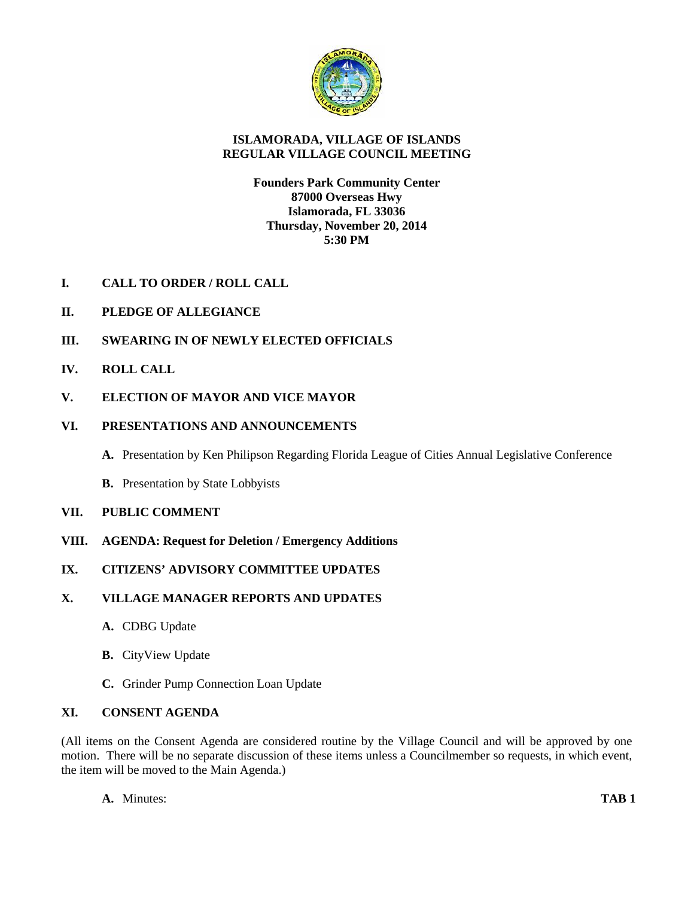

# **ISLAMORADA, VILLAGE OF ISLANDS REGULAR VILLAGE COUNCIL MEETING**

## **Founders Park Community Center 87000 Overseas Hwy Islamorada, FL 33036 Thursday, November 20, 2014 5:30 PM**

- **I. CALL TO ORDER / ROLL CALL**
- **II. PLEDGE OF ALLEGIANCE**
- **III. SWEARING IN OF NEWLY ELECTED OFFICIALS**
- **IV. ROLL CALL**
- **V. ELECTION OF MAYOR AND VICE MAYOR**

## **VI. PRESENTATIONS AND ANNOUNCEMENTS**

- **A.** Presentation by Ken Philipson Regarding Florida League of Cities Annual Legislative Conference
- **B.** Presentation by State Lobbyists

## **VII. PUBLIC COMMENT**

**VIII. AGENDA: Request for Deletion / Emergency Additions**

# **IX. CITIZENS' ADVISORY COMMITTEE UPDATES**

## **X. VILLAGE MANAGER REPORTS AND UPDATES**

- **A.** CDBG Update
- **B.** CityView Update
- **C.** Grinder Pump Connection Loan Update

## **XI. CONSENT AGENDA**

(All items on the Consent Agenda are considered routine by the Village Council and will be approved by one motion. There will be no separate discussion of these items unless a Councilmember so requests, in which event, the item will be moved to the Main Agenda.)

**A.** Minutes: **TAB 1**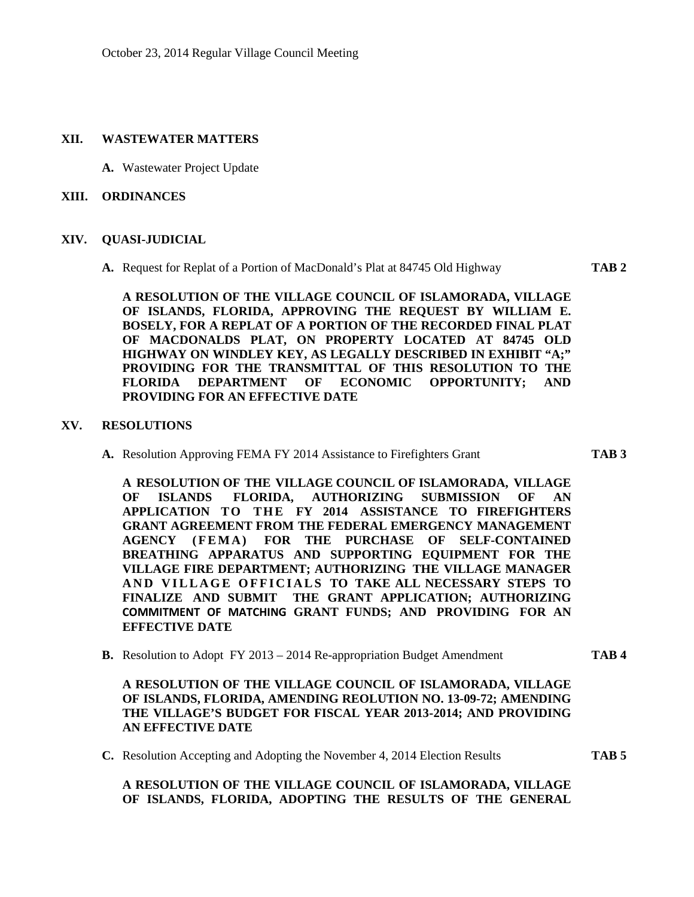### **XII. WASTEWATER MATTERS**

**A.** Wastewater Project Update

#### **XIII. ORDINANCES**

#### **XIV. QUASI-JUDICIAL**

**A.** Request for Replat of a Portion of MacDonald's Plat at 84745 Old Highway **TAB 2**

**A RESOLUTION OF THE VILLAGE COUNCIL OF ISLAMORADA, VILLAGE OF ISLANDS, FLORIDA, APPROVING THE REQUEST BY WILLIAM E. BOSELY, FOR A REPLAT OF A PORTION OF THE RECORDED FINAL PLAT OF MACDONALDS PLAT, ON PROPERTY LOCATED AT 84745 OLD HIGHWAY ON WINDLEY KEY, AS LEGALLY DESCRIBED IN EXHIBIT "A;" PROVIDING FOR THE TRANSMITTAL OF THIS RESOLUTION TO THE FLORIDA DEPARTMENT OF ECONOMIC OPPORTUNITY; AND PROVIDING FOR AN EFFECTIVE DATE**

#### **XV. RESOLUTIONS**

**A.** Resolution Approving FEMA FY 2014 Assistance to Firefighters Grant **TAB 3**

**A RESOLUTION OF THE VILLAGE COUNCIL OF ISLAMORADA, VILLAGE OF ISLANDS FLORIDA, AUTHORIZING SUBMISSION OF AN APPLICATION TO THE FY 2014 ASSISTANCE TO FIREFIGHTERS<br>
GRANT AGREEMENT FROM THE FEDERAL EMERGENCY MANAGEMENT<br>
AGENCY (FEMA) FOR THE PURCHASE OF SELF-CONTAINED GRANT AGREEMENT FROM THE FEDERAL EMERGENCY MANAGEMENT** A RESOLUTION OF THE VILLAGE COUNCIL OF ISLAMORADA, VILLAGE<br>
OF ISLANDS FLORIDA, AUTHORIZING SUBMISSION OF AN<br>
APPLICATION TO THE FY 2014 ASSISTANCE TO FIREFIGHTERS<br>
GRANT AGREEMENT FROM THE FEDERAL EMERGENCY MANAGEMENT<br>
AG **VILLAGE FIRE DEPARTMENT; AUTHORIZING THE VILLAGE MANAGER** APPLICATION TO THE FY 2014 ASSISTANCE TO FIREFIGHTERS<br>GRANT AGREEMENT FROM THE FEDERAL EMERGENCY MANAGEMENT<br>AGENCY (FEMA) FOR THE PURCHASE OF SELF-CONTAINED<br>BREATHING APPARATUS AND SUPPORTING EQUIPMENT FOR THE<br>VILLAGE FIRE **FINALIZE AND SUBMIT THE GRANT APPLICATION; AUTHORIZING COMMITMENT OF MATCHING GRANT FUNDS; AND PROVIDING FOR AN EFFECTIVE DATE**

**B.** Resolution to Adopt FY 2013 – 2014 Re-appropriation Budget Amendment **TAB 4**

**A RESOLUTION OF THE VILLAGE COUNCIL OF ISLAMORADA, VILLAGE OF ISLANDS, FLORIDA, AMENDING REOLUTION NO. 13-09-72; AMENDING THE VILLAGE'S BUDGET FOR FISCAL YEAR 2013-2014; AND PROVIDING AN EFFECTIVE DATE**

**C.** Resolution Accepting and Adopting the November 4, 2014 Election Results **TAB 5**

**A RESOLUTION OF THE VILLAGE COUNCIL OF ISLAMORADA, VILLAGE OF ISLANDS, FLORIDA, ADOPTING THE RESULTS OF THE GENERAL**